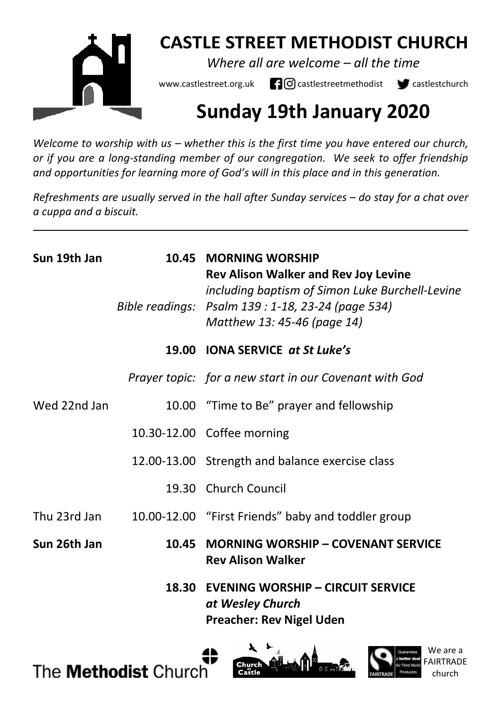

## **CASTLE STREET METHODIST CHURCH**

*Where all are welcome – all the time* 

www.castlestreet.org.uk  $\Box$   $\Box$  castlestreetmethodist  $\Box$  castlestchurch

# **Sunday 19th January 2020**

*Welcome to worship with us – whether this is the first time you have entered our church, or if you are a long-standing member of our congregation. We seek to offer friendship and opportunities for learning more of God's will in this place and in this generation.* 

*Refreshments are usually served in the hall after Sunday services – do stay for a chat over a cuppa and a biscuit.*

| Sun 19th Jan |       | 10.45 MORNING WORSHIP<br><b>Rev Alison Walker and Rev Joy Levine</b><br>including baptism of Simon Luke Burchell-Levine<br>Bible readings: Psalm 139 : 1-18, 23-24 (page 534)<br>Matthew 13: 45-46 (page 14) |
|--------------|-------|--------------------------------------------------------------------------------------------------------------------------------------------------------------------------------------------------------------|
|              |       | 19.00 IONA SERVICE at St Luke's                                                                                                                                                                              |
|              |       | Prayer topic: for a new start in our Covenant with God                                                                                                                                                       |
| Wed 22nd Jan |       | 10.00 "Time to Be" prayer and fellowship                                                                                                                                                                     |
|              |       | 10.30-12.00 Coffee morning                                                                                                                                                                                   |
|              |       | 12.00-13.00 Strength and balance exercise class                                                                                                                                                              |
|              |       | 19.30 Church Council                                                                                                                                                                                         |
| Thu 23rd Jan |       | 10.00-12.00 "First Friends" baby and toddler group                                                                                                                                                           |
| Sun 26th Jan | 10.45 | <b>MORNING WORSHIP - COVENANT SERVICE</b><br><b>Rev Alison Walker</b>                                                                                                                                        |
|              |       | 18.30 EVENING WORSHIP - CIRCUIT SERVICE<br>at Wesley Church<br><b>Preacher: Rev Nigel Uden</b>                                                                                                               |

The **Methodist** Church



We are a FAIRTRADE church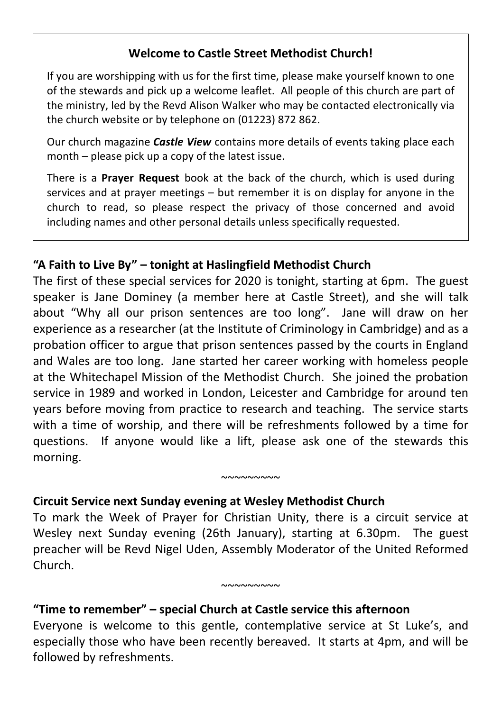#### **Welcome to Castle Street Methodist Church!**

If you are worshipping with us for the first time, please make yourself known to one of the stewards and pick up a welcome leaflet. All people of this church are part of the ministry, led by the Revd Alison Walker who may be contacted electronically via the church website or by telephone on (01223) 872 862.

Our church magazine *Castle View* contains more details of events taking place each month – please pick up a copy of the latest issue.

There is a **Prayer Request** book at the back of the church, which is used during services and at prayer meetings – but remember it is on display for anyone in the church to read, so please respect the privacy of those concerned and avoid including names and other personal details unless specifically requested.

## **"A Faith to Live By" – tonight at Haslingfield Methodist Church**

The first of these special services for 2020 is tonight, starting at 6pm. The guest speaker is Jane Dominey (a member here at Castle Street), and she will talk about "Why all our prison sentences are too long". Jane will draw on her experience as a researcher (at the Institute of Criminology in Cambridge) and as a probation officer to argue that prison sentences passed by the courts in England and Wales are too long. Jane started her career working with homeless people at the Whitechapel Mission of the Methodist Church. She joined the probation service in 1989 and worked in London, Leicester and Cambridge for around ten years before moving from practice to research and teaching. The service starts with a time of worship, and there will be refreshments followed by a time for questions. If anyone would like a lift, please ask one of the stewards this morning.

## **Circuit Service next Sunday evening at Wesley Methodist Church**

To mark the Week of Prayer for Christian Unity, there is a circuit service at Wesley next Sunday evening (26th January), starting at 6.30pm. The guest preacher will be Revd Nigel Uden, Assembly Moderator of the United Reformed Church.

 $~\sim\sim\sim\sim\sim\sim\sim\sim$ 

 $~\sim\sim\sim\sim\sim\sim\sim\sim$ 

## **"Time to remember" – special Church at Castle service this afternoon**

Everyone is welcome to this gentle, contemplative service at St Luke's, and especially those who have been recently bereaved. It starts at 4pm, and will be followed by refreshments.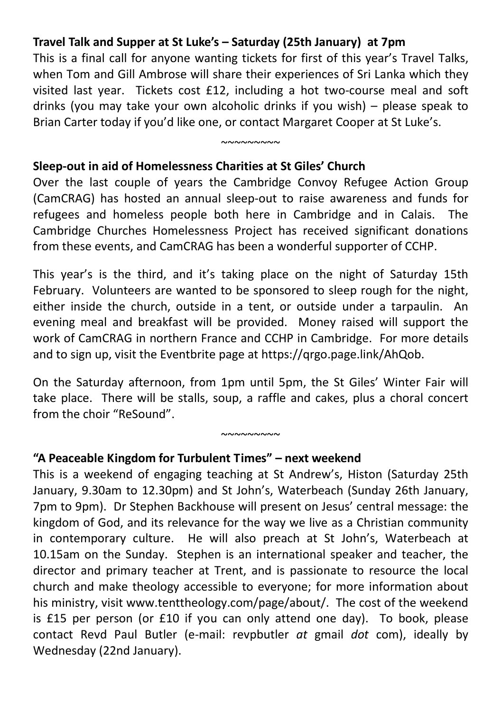#### **Travel Talk and Supper at St Luke's – Saturday (25th January) at 7pm**

This is a final call for anyone wanting tickets for first of this year's Travel Talks, when Tom and Gill Ambrose will share their experiences of Sri Lanka which they visited last year. Tickets cost £12, including a hot two-course meal and soft drinks (you may take your own alcoholic drinks if you wish) – please speak to Brian Carter today if you'd like one, or contact Margaret Cooper at St Luke's.

 $~\sim$ ~~~~~~~

#### **Sleep-out in aid of Homelessness Charities at St Giles' Church**

Over the last couple of years the Cambridge Convoy Refugee Action Group (CamCRAG) has hosted an annual sleep-out to raise awareness and funds for refugees and homeless people both here in Cambridge and in Calais. The Cambridge Churches Homelessness Project has received significant donations from these events, and CamCRAG has been a wonderful supporter of CCHP.

This year's is the third, and it's taking place on the night of Saturday 15th February. Volunteers are wanted to be sponsored to sleep rough for the night, either inside the church, outside in a tent, or outside under a tarpaulin. An evening meal and breakfast will be provided. Money raised will support the work of CamCRAG in northern France and CCHP in Cambridge. For more details and to sign up, visit the Eventbrite page at https://qrgo.page.link/AhQob.

On the Saturday afternoon, from 1pm until 5pm, the St Giles' Winter Fair will take place. There will be stalls, soup, a raffle and cakes, plus a choral concert from the choir "ReSound".

 $~\sim\sim\sim\sim\sim\sim\sim\sim$ 

#### **"A Peaceable Kingdom for Turbulent Times" – next weekend**

This is a weekend of engaging teaching at St Andrew's, Histon (Saturday 25th January, 9.30am to 12.30pm) and St John's, Waterbeach (Sunday 26th January, 7pm to 9pm). Dr Stephen Backhouse will present on Jesus' central message: the kingdom of God, and its relevance for the way we live as a Christian community in contemporary culture. He will also preach at St John's, Waterbeach at 10.15am on the Sunday. Stephen is an international speaker and teacher, the director and primary teacher at Trent, and is passionate to resource the local church and make theology accessible to everyone; for more information about his ministry, visit www.tenttheology.com/page/about/. The cost of the weekend is £15 per person (or £10 if you can only attend one day). To book, please contact Revd Paul Butler (e-mail: revpbutler *at* gmail *dot* com), ideally by Wednesday (22nd January).